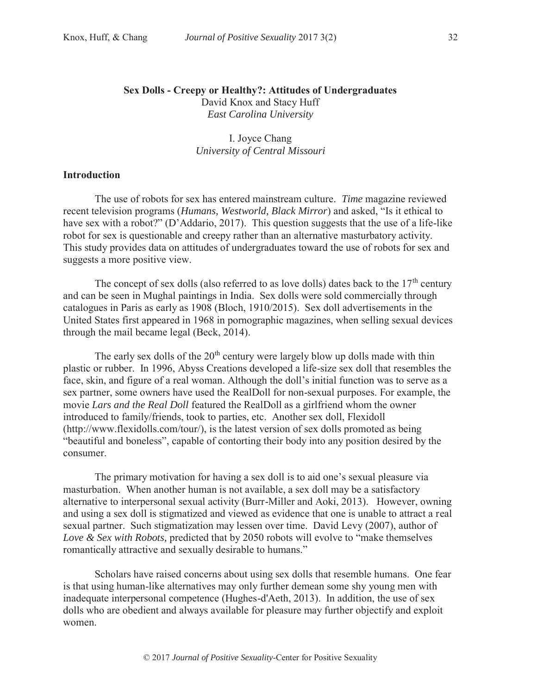## **Sex Dolls - Creepy or Healthy?: Attitudes of Undergraduates**  David Knox and Stacy Huff *East Carolina University*

I. Joyce Chang *University of Central Missouri* 

### **Introduction**

The use of robots for sex has entered mainstream culture. *Time* magazine reviewed recent television programs (*Humans, Westworld, Black Mirror*) and asked, "Is it ethical to have sex with a robot?" (D'Addario, 2017). This question suggests that the use of a life-like robot for sex is questionable and creepy rather than an alternative masturbatory activity. This study provides data on attitudes of undergraduates toward the use of robots for sex and suggests a more positive view.

The concept of sex dolls (also referred to as love dolls) dates back to the  $17<sup>th</sup>$  century and can be seen in Mughal paintings in India. Sex dolls were sold commercially through catalogues in Paris as early as 1908 (Bloch, 1910/2015). Sex doll advertisements in the United States first appeared in 1968 in pornographic magazines, when selling sexual devices through the mail became legal (Beck, 2014).

The early sex dolls of the  $20<sup>th</sup>$  century were largely blow up dolls made with thin plastic or rubber. In 1996, Abyss Creations developed a life-size sex doll that resembles the face, skin, and figure of a real woman. Although the doll's initial function was to serve as a sex partner, some owners have used the RealDoll for non-sexual purposes. For example, the movie *Lars and the Real Doll* featured the RealDoll as a girlfriend whom the owner introduced to family/friends, took to parties, etc. Another sex doll, Flexidoll (http://www.flexidolls.com/tour/), is the latest version of sex dolls promoted as being "beautiful and boneless", capable of contorting their body into any position desired by the consumer.

The primary motivation for having a sex doll is to aid one's sexual pleasure via masturbation. When another human is not available, a sex doll may be a satisfactory alternative to interpersonal sexual activity (Burr-Miller and Aoki, 2013). However, owning and using a sex doll is stigmatized and viewed as evidence that one is unable to attract a real sexual partner. Such stigmatization may lessen over time. David Levy (2007), author of *Love & Sex with Robots,* predicted that by 2050 robots will evolve to "make themselves romantically attractive and sexually desirable to humans."

Scholars have raised concerns about using sex dolls that resemble humans. One fear is that using human-like alternatives may only further demean some shy young men with inadequate interpersonal competence (Hughes-d'Aeth, 2013). In addition, the use of sex dolls who are obedient and always available for pleasure may further objectify and exploit women.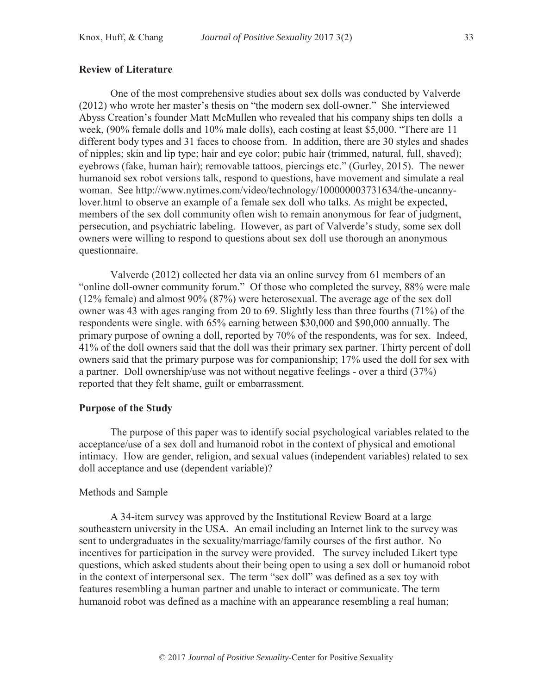One of the most comprehensive studies about sex dolls was conducted by Valverde (2012) who wrote her master's thesis on "the modern sex doll-owner." She interviewed Abyss Creation's founder Matt McMullen who revealed that his company ships ten dolls a week, (90% female dolls and 10% male dolls), each costing at least \$5,000. "There are 11 different body types and 31 faces to choose from. In addition, there are 30 styles and shades of nipples; skin and lip type; hair and eye color; pubic hair (trimmed, natural, full, shaved); eyebrows (fake, human hair); removable tattoos, piercings etc." (Gurley, 2015). The newer humanoid sex robot versions talk, respond to questions, have movement and simulate a real woman. See http://www.nytimes.com/video/technology/100000003731634/the-uncannylover.html to observe an example of a female sex doll who talks. As might be expected, members of the sex doll community often wish to remain anonymous for fear of judgment, persecution, and psychiatric labeling. However, as part of Valverde's study, some sex doll owners were willing to respond to questions about sex doll use thorough an anonymous questionnaire.

Valverde (2012) collected her data via an online survey from 61 members of an "online doll-owner community forum." Of those who completed the survey, 88% were male (12% female) and almost 90% (87%) were heterosexual. The average age of the sex doll owner was 43 with ages ranging from 20 to 69. Slightly less than three fourths (71%) of the respondents were single. with 65% earning between \$30,000 and \$90,000 annually. The primary purpose of owning a doll, reported by 70% of the respondents, was for sex. Indeed, 41% of the doll owners said that the doll was their primary sex partner. Thirty percent of doll owners said that the primary purpose was for companionship; 17% used the doll for sex with a partner. Doll ownership/use was not without negative feelings - over a third (37%) reported that they felt shame, guilt or embarrassment.

#### **Purpose of the Study**

The purpose of this paper was to identify social psychological variables related to the acceptance/use of a sex doll and humanoid robot in the context of physical and emotional intimacy. How are gender, religion, and sexual values (independent variables) related to sex doll acceptance and use (dependent variable)?

### Methods and Sample

A 34-item survey was approved by the Institutional Review Board at a large southeastern university in the USA. An email including an Internet link to the survey was sent to undergraduates in the sexuality/marriage/family courses of the first author. No incentives for participation in the survey were provided. The survey included Likert type questions, which asked students about their being open to using a sex doll or humanoid robot in the context of interpersonal sex. The term "sex doll" was defined as a sex toy with features resembling a human partner and unable to interact or communicate. The term humanoid robot was defined as a machine with an appearance resembling a real human;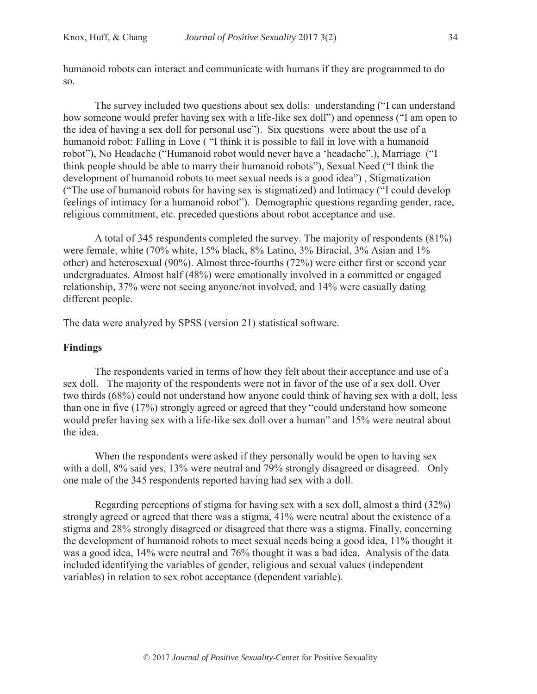humanoid robots can interact and communicate with humans if they are programmed to do so.

The survey included two questions about sex dolls: understanding ("I can understand how someone would prefer having sex with a life-like sex doll") and openness ("I am open to the idea of having a sex doll for personal use"). Six questions were about the use of a humanoid robot: Falling in Love ( "I think it is possible to fall in love with a humanoid robot"), No Headache ("Humanoid robot would never have a 'headache".), Marriage ("I think people should be able to marry their humanoid robots"), Sexual Need ("I think the development of humanoid robots to meet sexual needs is a good idea") , Stigmatization ("The use of humanoid robots for having sex is stigmatized) and Intimacy ("I could develop feelings of intimacy for a humanoid robot"). Demographic questions regarding gender, race, religious commitment, etc. preceded questions about robot acceptance and use.

A total of 345 respondents completed the survey. The majority of respondents (81%) were female, white (70% white, 15% black, 8% Latino, 3% Biracial, 3% Asian and 1% other) and heterosexual (90%). Almost three-fourths (72%) were either first or second year undergraduates. Almost half (48%) were emotionally involved in a committed or engaged relationship, 37% were not seeing anyone/not involved, and 14% were casually dating different people.

The data were analyzed by SPSS (version 21) statistical software.

# **Findings**

The respondents varied in terms of how they felt about their acceptance and use of a sex doll. The majority of the respondents were not in favor of the use of a sex doll. Over two thirds (68%) could not understand how anyone could think of having sex with a doll, less than one in five (17%) strongly agreed or agreed that they "could understand how someone would prefer having sex with a life-like sex doll over a human" and 15% were neutral about the idea.

When the respondents were asked if they personally would be open to having sex with a doll, 8% said yes, 13% were neutral and 79% strongly disagreed or disagreed. Only one male of the 345 respondents reported having had sex with a doll.

Regarding perceptions of stigma for having sex with a sex doll, almost a third (32%) strongly agreed or agreed that there was a stigma, 41% were neutral about the existence of a stigma and 28% strongly disagreed or disagreed that there was a stigma. Finally, concerning the development of humanoid robots to meet sexual needs being a good idea, 11% thought it was a good idea, 14% were neutral and 76% thought it was a bad idea. Analysis of the data included identifying the variables of gender, religious and sexual values (independent variables) in relation to sex robot acceptance (dependent variable).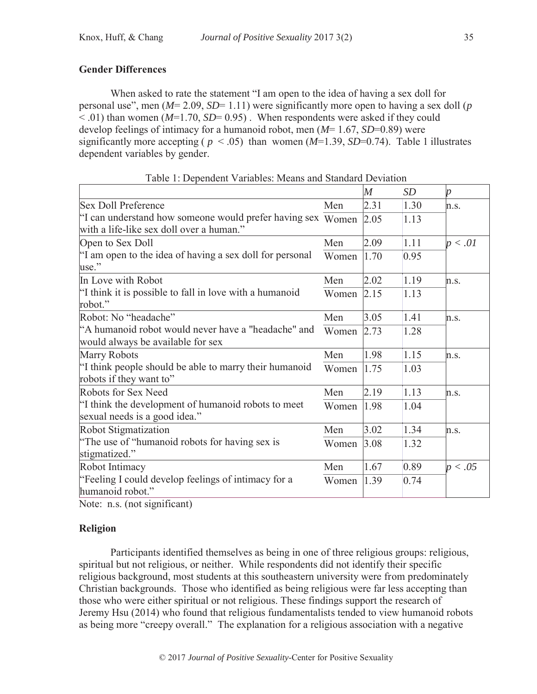# **Gender Differences**

When asked to rate the statement "I am open to the idea of having a sex doll for personal use", men (*M*= 2.09, *SD*= 1.11) were significantly more open to having a sex doll (*p*   $\leq$  .01) than women ( $M=1.70$ ,  $SD=0.95$ ). When respondents were asked if they could develop feelings of intimacy for a humanoid robot, men (*M*= 1.67, *SD*=0.89) were significantly more accepting ( $p < .05$ ) than women ( $M=1.39$ ,  $SD=0.74$ ). Table 1 illustrates dependent variables by gender.

|                                                                                          |       | $\overline{M}$ | <b>SD</b> | $\boldsymbol{p}$ |
|------------------------------------------------------------------------------------------|-------|----------------|-----------|------------------|
| <b>Sex Doll Preference</b>                                                               | Men   | 2.31           | 1.30      | n.s.             |
| "I can understand how someone would prefer having sex Women                              |       | 2.05           | 1.13      |                  |
| with a life-like sex doll over a human."                                                 |       |                |           |                  |
| Open to Sex Doll                                                                         | Men   | 2.09           | 1.11      | p < .01          |
| "I am open to the idea of having a sex doll for personal<br>use."                        | Women | 1.70           | 0.95      |                  |
| In Love with Robot                                                                       | Men   | 2.02           | 1.19      | n.s.             |
| "I think it is possible to fall in love with a humanoid<br>robot."                       | Women | 2.15           | 1.13      |                  |
| Robot: No "headache"                                                                     | Men   | 3.05           | 1.41      | n.s.             |
| "A humanoid robot would never have a "headache" and<br>would always be available for sex | Women | 2.73           | 1.28      |                  |
| <b>Marry Robots</b>                                                                      | Men   | 1.98           | 1.15      | n.s.             |
| "I think people should be able to marry their humanoid<br>robots if they want to"        | Women | 1.75           | 1.03      |                  |
| Robots for Sex Need                                                                      | Men   | 2.19           | 1.13      | n.s.             |
| "I think the development of humanoid robots to meet<br>sexual needs is a good idea."     | Women | 1.98           | 1.04      |                  |
| Robot Stigmatization                                                                     | Men   | 3.02           | 1.34      | n.s.             |
| "The use of "humanoid robots for having sex is"<br>stigmatized."                         | Women | 3.08           | 1.32      |                  |
| Robot Intimacy                                                                           | Men   | 1.67           | 0.89      | p < .05          |
| "Feeling I could develop feelings of intimacy for a<br>humanoid robot."                  | Women | 1.39           | 0.74      |                  |

Table 1: Dependent Variables: Means and Standard Deviation

Note: n.s. (not significant)

# **Religion**

Participants identified themselves as being in one of three religious groups: religious, spiritual but not religious, or neither. While respondents did not identify their specific religious background, most students at this southeastern university were from predominately Christian backgrounds. Those who identified as being religious were far less accepting than those who were either spiritual or not religious. These findings support the research of Jeremy Hsu (2014) who found that religious fundamentalists tended to view humanoid robots as being more "creepy overall." The explanation for a religious association with a negative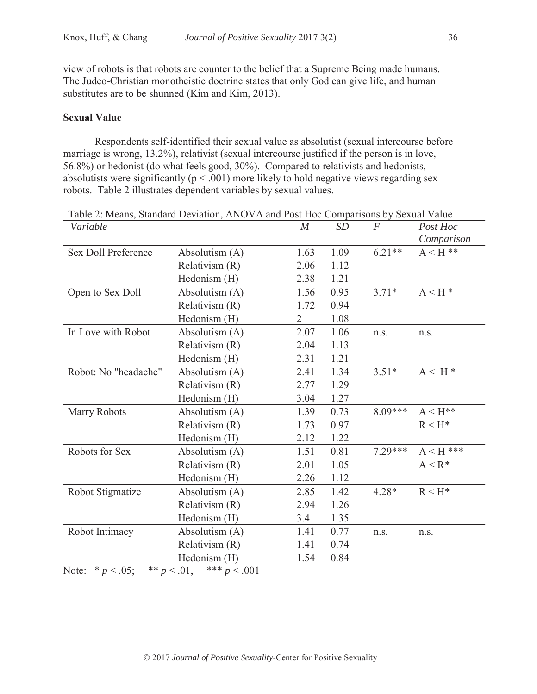view of robots is that robots are counter to the belief that a Supreme Being made humans. The Judeo-Christian monotheistic doctrine states that only God can give life, and human substitutes are to be shunned (Kim and Kim, 2013).

## **Sexual Value**

Respondents self-identified their sexual value as absolutist (sexual intercourse before marriage is wrong, 13.2%), relativist (sexual intercourse justified if the person is in love, 56.8%) or hedonist (do what feels good, 30%). Compared to relativists and hedonists, absolutists were significantly ( $p < .001$ ) more likely to hold negative views regarding sex robots. Table 2 illustrates dependent variables by sexual values.

| Variable                   |                                  | M              | SD   | $\boldsymbol{F}$ | Post Hoc                    |
|----------------------------|----------------------------------|----------------|------|------------------|-----------------------------|
|                            |                                  |                |      |                  | Comparison                  |
| <b>Sex Doll Preference</b> | Absolutism (A)                   | 1.63           | 1.09 | $6.21**$         | $A < H$ **                  |
|                            | Relativism (R)                   | 2.06           | 1.12 |                  |                             |
|                            | Hedonism (H)                     | 2.38           | 1.21 |                  |                             |
| Open to Sex Doll           | Absolutism (A)                   | 1.56           | 0.95 | $3.71*$          | $A \leq H^*$                |
|                            | Relativism (R)                   | 1.72           | 0.94 |                  |                             |
|                            | Hedonism (H)                     | $\overline{2}$ | 1.08 |                  |                             |
| In Love with Robot         | Absolutism (A)                   | 2.07           | 1.06 | n.s.             | n.s.                        |
|                            | Relativism (R)                   | 2.04           | 1.13 |                  |                             |
|                            | Hedonism (H)                     | 2.31           | 1.21 |                  |                             |
| Robot: No "headache"       | Absolutism (A)                   | 2.41           | 1.34 | $3.51*$          | $A \leq H^*$                |
|                            | Relativism (R)                   | 2.77           | 1.29 |                  |                             |
|                            | Hedonism (H)                     | 3.04           | 1.27 |                  |                             |
| Marry Robots               | Absolutism (A)                   | 1.39           | 0.73 | $8.09***$        | $A \leq H^{**}$             |
|                            | Relativism (R)                   | 1.73           | 0.97 |                  | $R < H^*$                   |
|                            | Hedonism (H)                     | 2.12           | 1.22 |                  |                             |
| Robots for Sex             | Absolutism (A)                   | 1.51           | 0.81 | $7.29***$        | $\mathrm{A}<\mathrm{H}$ *** |
|                            | Relativism (R)                   | 2.01           | 1.05 |                  | $A < R^*$                   |
|                            | Hedonism (H)                     | 2.26           | 1.12 |                  |                             |
| Robot Stigmatize           | Absolutism (A)                   | 2.85           | 1.42 | $4.28*$          | $R < H^*$                   |
|                            | Relativism (R)                   | 2.94           | 1.26 |                  |                             |
|                            | Hedonism (H)                     | 3.4            | 1.35 |                  |                             |
| Robot Intimacy             | Absolutism (A)                   | 1.41           | 0.77 | n.s.             | n.s.                        |
|                            | Relativism (R)                   | 1.41           | 0.74 |                  |                             |
|                            | Hedonism (H)                     | 1.54           | 0.84 |                  |                             |
| Note: $* p < .05$ ;        | ** $p < .01$ ,<br>*** $p < .001$ |                |      |                  |                             |

Table 2: Means, Standard Deviation, ANOVA and Post Hoc Comparisons by Sexual Value